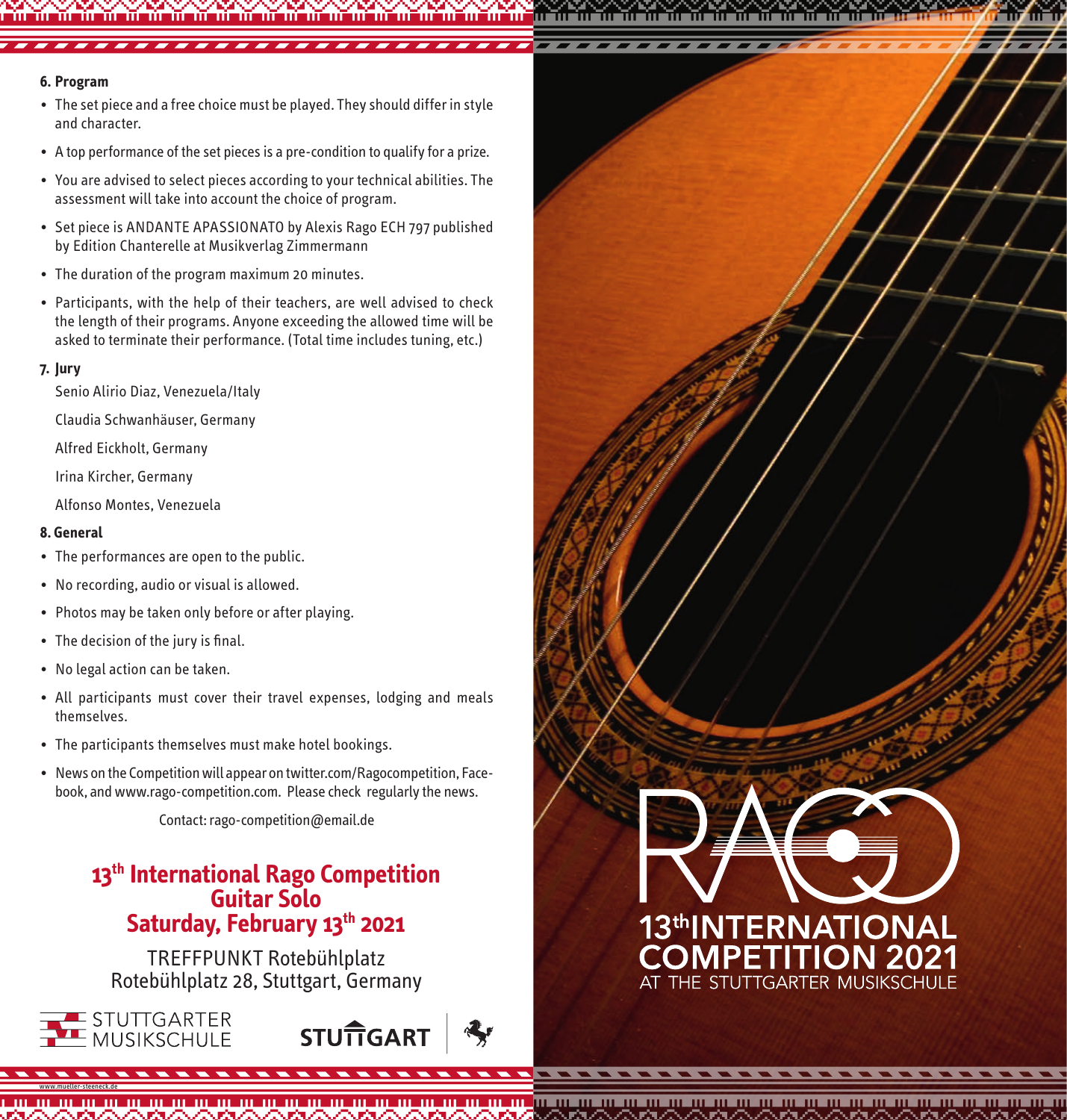#### **6. Program**

- The set piece and a free choice must be played. They should differ in style and character.
- A top performance of the set pieces is a pre-condition to qualify for a prize.
- • You are advised to select pieces according to your technical abilities. The assessment will take into account the choice of program.
- Set piece is ANDANTE APASSIONATO by Alexis Rago ECH 797 published by Edition Chanterelle at Musikverlag Zimmermann
- The duration of the program maximum 20 minutes.
- Participants, with the help of their teachers, are well advised to check the length of their programs. Anyone exceeding the allowed time will be asked to terminate their performance. (Total time includes tuning, etc.)
- **7. Jury**

 Senio Alirio Diaz, Venezuela/Italy

 Claudia Schwanhäuser, Germany

 Alfred Eickholt, Germany

 Irina Kircher, Germany

 Alfonso Montes, Venezuela

#### **8. General**

- The performances are open to the public.
- • No recording, audio or visual is allowed.
- Photos may be taken only before or after playing.
- The decision of the jury is final.
- No legal action can be taken.
- All participants must cover their travel expenses, lodging and meals themselves.
- The participants themselves must make hotel bookings.
- News on the Competition will appear on twitter.com/Ragocompetition, Facebook, andwww.rago-competition.com. Please check regularly the news.

Contact: rago-competition@email.de

# **13th International Rago Competition Guitar Solo Saturday, February 13th 2021**

TREFFPUNKT Rotebühlplatz Rotebühlplatz 28, Stuttgart, Germany



www.mueller-steeneck.de

**STUTTGART** 



<u> u n n m n n n n n n n n n n n n n n n</u>